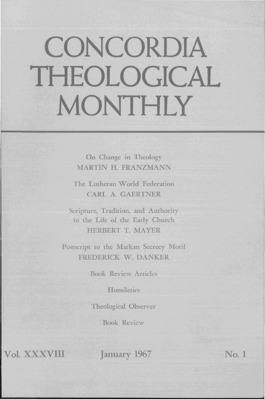## **CONCORDIA THEOLOGICAL MONTHLY**

On Change in Theology MARTIN H. FRANZMANN

The Lutheran World Federation CARL A. GAERTNER

Scripture, Tradition, and Authority in the Life of the Early Church HERBERT T. MAYER

Postscript to the Markan Secrecy Motif FREDERICK W. DANKER

**Book Review Articles** 

**Homiletics** 

Theological Observer

Book Review

Vol. XXXVIII January 1967 No. 1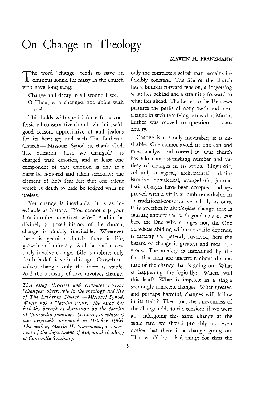## On Change in Theology

The word "change" tends to have an  $\perp$  ominous sound for many in the church who have long sung:

Change and decay in all around I see.

o Thou, who changest not, abide with me!

This holds with special force for a confessional-conservative church which is, with good reason, appreciative of and jealous for its heritage; and such The Lutheran Church - Missouri Synod is, thank God. The question "have we changed?" is charged with emotion, and at least one component *oi* that emotion is one that must be honored and taken seriously: the element of holy fear lest that one talent which is death to hide be lodged with us useless.

Yet change is inevitable. It is as inevitable as history. "You cannot dip your foot into the same river twice." And in the divinely purposed history of the church, change is doubly inevitable. Wherever there is genuine church, there is life, growth, and ministry. And these all necessarily involve change. Life is mobile; only death is definitive in this age. Growth involves change; only the inert *is* stable. And the ministry of love involves change;

*This essay discusses and evaluates various "changes" observable in the theology and life of The Lutheran Church-Missouri Synod. While not a "faculty paper," the essay has had the benefit of discussion by the facttlty*  of Concordia Seminary, St. Louis, to which it *was originally presented in October 1966.*  The author, Martin H. Franzmann, is chair*man of the department of exegetical theology at Concordia Seminary.* 

only the completely selfish man remains inflexibly constant. The life of the church has a built-in forward tension, a forgetting what lies behind and a straining forward to what lies ahead. The Letter to the Hebrews pictures the perils of nongrowth and nonchange in such terrifying terms that Martin luther was moved to question its canonicity.

Change is not only inevitable; it is desirable. One cannot avoid it; one can and must analyze and control it. Our church has taken an astonishing number and variety of changes in its stride. Linguistic, cultural, liturgical, architectural, administrative, homiletical, evangelistic, journalistic changes have been accepted and approved with a virile aplomb remarkable in so traditional-conservative a body as ours. It is specifically *theological* change that is causing anxiety and with good reason. For here the One who changes not, the One on whose abiding with us our life depends, is directly and patently involved; here the hazard of change is greatest and most obvious. The anxiety *is* intensified by the fact that men are uncertain about the nature of the change that is going on. What *is* happening theologically? Where will this lead? What is implicit in a single seemingly innocent change? What greater, and perhaps harmful, changes will follow in its train? Then, too, the unevenness of the change adds to the tension; if we were all undergoing this same change at the same rate, we should probably not even notice that there is a change going on. That would be a bad thing; for then the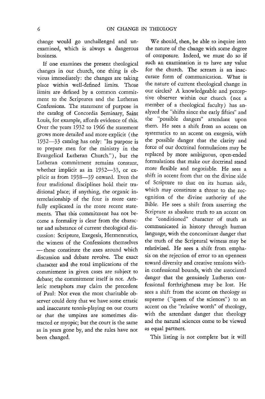change would go unchallenged and unexamined, which is always a dangerous business.

If one examines the present theological changes in our church, one thing is obvious immediately: the changes are taking place within well-defined limits. Those limits ate defined by a common commitment to the Scriptures and the Lutheran Confessions. The statement of purpose in the catalog of Concordia Seminary, Saint Louis, for example, affords evidence of this. Over the years 1932 to 1966 the statement grows more detailed and more explicit (the 1932-33 catalog has only: "Its purpose is to prepare men for the ministry in the Evangelical Lutheran Church."), but the Lutheran commitment remains constant, whether implicit as in 1932-33, or explicit as from 1938-39 onward. Even the four traditional disciplines hold their traditional place; if anything, the organic interrelationship of the four is more carefully explicated in the more recent statements. That this commitment has not become a formality is clear from the character and substance of current theological discussion: Scripture, Exegesis, Hermeneutics, the witness of the Confessions themselves - these constitute the axes around which discussion and debate revolve. The exact character and the total implications of the commitment in given cases are subject to debate; the commitment itself is not. Athletic metaphors may claim the precedent of Paul: Not even the most charitable observer could deny that we have some erratic and inaccurate tennis-playing on our courts or that the umpires are sometimes distracted or myopic; but the court is the same as in years gone by, and the rules have not been changed.

We should, then, be able to inquire into the nature of the change with some degree of composure. Indeed, we must do so if such an examination is to have any value for the church. The scream is an inaccurate form of communication. What is the nature of current theological change in our circles? A knowledgeable and perceptive observer within our church (not a member of a theological faculty) has analyzed the "shifts since the early fifties" and the "possible dangers" attendant upon them. He sees a shift from an accent on systematics to an accent on exegesis, with the possible danger that the clarity and force of our doctrinal formulations may be replaced by more ambiguous, open-ended formulations that make our doctrinal stand more flexible and negotiable. He sees a shift in accent from that on the divine side of Scripture to that on its human side, which may constitute a threat to the recognition of the divine authority of the Bible. He sees a shift from asserting the Scripture as absolute truth to an accent on the "conditioned" character of truth as communicated in history through human language, with the concomitant danger that the truth of the Scriptural witness may be relativized. He sees a shift from emphasis on the rejection of error to an openness toward diversity and creative tensions within confessional bounds, with the associated danger that the genuinely Lutheran confessional forthrightness may be lost. He sees a shift from the accent on theology as supreme ("queen of the sciences") to an accent on the "relative worth" of theology, with the attendant danger that theology and the natural sciences come to be viewed as equal partners.

This listing is not complete but it will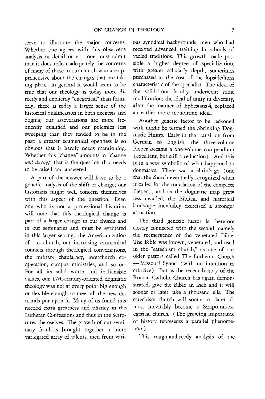serve to illustrate the major concerns. Whether one agrees with this observer's analysis in detail or not, one must admit that it does reflect adequately the concerns of many of those in our church who are apprehensive about the changes that are taking place. In general it would seem to be true that our theology is today more directly and explicitly "exegetical" than formerly; there is today a larger sense of the historical qualification in both exegesis and dogma; our asseverations are more frequently qualified and our polemics less sweeping than they tended to be in the past; a greater ecumenical openness is so obvious that it hardly needs mentioning. Whether this "change" amounts to "change *and decay,"* that is the question that needs to be raised and answered.

A part of the answer will have to be a genetic analysis of the shift or change; our historians might well concern themselves with this aspect of the question. Even one who is not a professional historian will note that this theological change is part of a larger change in our church and in our seminaries and must be evaluated in this larger setting: the Americanization of our church, our increasing ecumenical contacts through theological conversations, the military chaplaincy, interchurch cooperation, campus ministries, and so on. For all its solid worth and inalienable values, our 17th-century-oriented dogmatic theology was not at every point big enough or flexible enough to meet all the new demands put upon it. Many of us found this needed extra greatness and pliancy in the-Lutheran Confessions and thus in the Scriptures themselves. The growth of our seminary faculties brought together a more variegated array of talents, men from vari-

ous synodical backgrounds, men who had received advanced training in schools of varied traditions. This growth made possible a higher degree of specialization, with greater scholarly depth, sometimes purchased at the cost of the lopsidedness characteristic of the specialist. The ideal of the solid-front faculty underwent some modification; the ideal of unity in diversity, after the manner of Ephesians 4, replaced an earlier more monolithic ideal.

Another genetic factor to be reckoned with might be termed the Shrinking Dogmatic Hump. Early in the transition from German to English, the three-volume Pieper became a one-volume compendium (excellent, but still a reduction). And this is in a way symbolic of what happened to dogmatics. There was a shrinkage ( one that the church eventually recognized when it called for the translation of the complete Pieper); and as the dogmatic map grew less detailed, the Biblical and historical landscape inevitably exercised a stronger attraction.

The third genetic factor is therefore closely connected with the second, namely the reemergence of the venerated Bible. The Bible was known, venerated, and used in the "catechism church," as one of our older pastors called The Lutheran Church - Missouri Synod (with no intention to criticize). But as the recent history of the Roman Catholic Church has again demonstrated, give the Bible an inch and it will sooner or later take a thousand ells. The catechism church will sooner or later almost inevitably become a Scriptural-exegetical church. (The growing importance of history represents a parallel phenomenon.)

This rough-and-ready analysis of the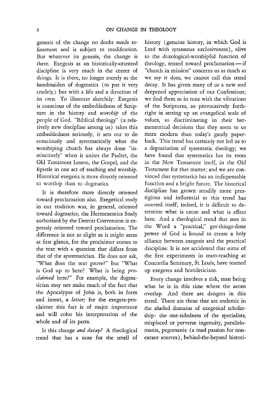genesis of. the change no doubt needs refinement and is subject to modification. But whatever its genesis, the change is there. Exegesis as an historically-oriented discipline is very much in the center of things. It is there, no longer merely as the handmaiden of dogmatics (to put it very crudely) but with a life and a direction of its own. To illustrate sketchily: Exegesis is conscious of the embeddedness of Scripture in the history and *worship* of the people of God. "Biblical theology" (a relatively new discipline among us) takes this embeddedness seriously; it sets out to do consciously and systematically what the worshiping church has always done "instinctively" when it unites the Psalter, the Old Testament Lesson, the Gospel, and the Epistle in one act of teaching and worship. Historical exegesis is more directly oriented to worship than to dogmatics.

It is therefore more directly oriented toward proclamation also. Exegetical study in our tradition was, in general, oriented toward dogmatics; the Hermeneutics Study authorized by the Detroit Convention is expressly oriented toward proclamation. The difference is not so slight as it might seem at first glance, for the proclaimer comes to the text with a question that differs from that of the systematician. He does not ask, "What does the text prove?" but "What is God up to here? What is being *proclaimed* here?" For example, the dogmatician may not make much of the fact that the Apocalypse of John is, both in form and intent, a *letter;* for the exegete-proclaimer this fact is of major importance and will color his interpretation of the whole and of its parts.

Is this change *and decay?* A theological trend that has a nose for the smell of history (genuine history, in which God is Lord with tyrannous exclusiveness), alive to the doxological-worshipful function of theology, tensed toward proclamation-if "church in mission" concerns us as much as we say it does, we cannot call this trend decay. It has given many of us a new and deepened appreciation of our Confessions; we find them so in tune with the vibrations of the Scriptures, so provocatively forthright in setting up an evangelical scale of values, so discriminating in their hermeneutical decisions that they seem to us more modern than today's gaudy paperback. This trend has certainly not led us to a depreciation of systematic theology; we have found that systematics has its roots in the New Testament itself, in the Old Testament for that matter; and we are convinced that systematics has an indispensable function and a bright future. The historical discipline has grown steadily more prestigious and influential as this trend has asserted itself; indeed, it is difficult to determine what is cause and what is effect here. And a theological trend that sees in the Word a "practical," get-things-done power of God is bound to create a holy alliance between exegesis and the practical discipline. It is not accidental that some of the first experiments in team-teaching at Concordia Seminary, St. Louis, have teamed up exegetes and homileticians.

Every change involves a risk, man being what he is in this time where the aeons overlap. And there are dangers in this trend. There are those that are endemic in the shaded domains of exegetical scholarship: the one-sidedness of the specialists, misplaced or perverse ingenuity, parallelomania, pegomania (a mad passion for nonextant sources), behind-the-beyond histori-